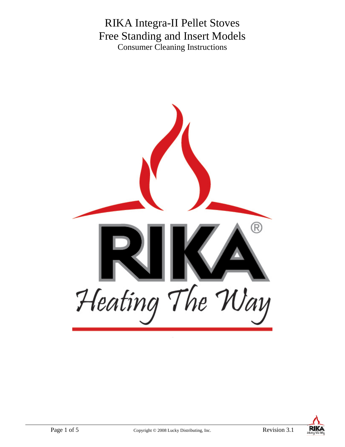# RIKA Integra-II Pellet Stoves Free Standing and Insert Models Consumer Cleaning Instructions



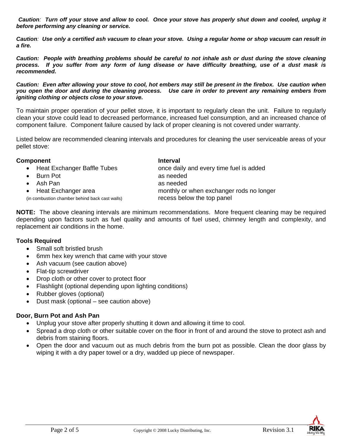*Caution: Turn off your stove and allow to cool. Once your stove has properly shut down and cooled, unplug it before performing any cleaning or service.* 

*Caution: Use only a certified ash vacuum to clean your stove. Using a regular home or shop vacuum can result in a fire.* 

*Caution: People with breathing problems should be careful to not inhale ash or dust during the stove cleaning process. If you suffer from any form of lung disease or have difficulty breathing, use of a dust mask is recommended.* 

*Caution: Even after allowing your stove to cool, hot embers may still be present in the firebox. Use caution when you open the door and during the cleaning process. Use care in order to prevent any remaining embers from igniting clothing or objects close to your stove.* 

To maintain proper operation of your pellet stove, it is important to regularly clean the unit. Failure to regularly clean your stove could lead to decreased performance, increased fuel consumption, and an increased chance of component failure. Component failure caused by lack of proper cleaning is not covered under warranty.

Listed below are recommended cleaning intervals and procedures for cleaning the user serviceable areas of your pellet stove:

#### **Component Interval**

- 
- Burn Pot as needed
- Ash Pan as needed

(in combustion chamber behind back cast walls) recess below the top panel

• Heat Exchanger Baffle Tubes **once daily and every time fuel is added** • Heat Exchanger area monthly or when exchanger rods no longer

**NOTE:** The above cleaning intervals are minimum recommendations. More frequent cleaning may be required depending upon factors such as fuel quality and amounts of fuel used, chimney length and complexity, and replacement air conditions in the home.

# **Tools Required**

- Small soft bristled brush
- 6mm hex key wrench that came with your stove
- Ash vacuum (see caution above)
- Flat-tip screwdriver
- Drop cloth or other cover to protect floor
- Flashlight (optional depending upon lighting conditions)
- Rubber gloves (optional)
- Dust mask (optional see caution above)

# **Door, Burn Pot and Ash Pan**

- Unplug your stove after properly shutting it down and allowing it time to cool.
- Spread a drop cloth or other suitable cover on the floor in front of and around the stove to protect ash and debris from staining floors.
- Open the door and vacuum out as much debris from the burn pot as possible. Clean the door glass by wiping it with a dry paper towel or a dry, wadded up piece of newspaper.

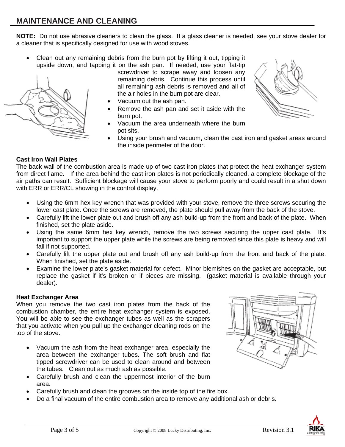**NOTE:** Do not use abrasive cleaners to clean the glass. If a glass cleaner is needed, see your stove dealer for a cleaner that is specifically designed for use with wood stoves.

• Clean out any remaining debris from the burn pot by lifting it out, tipping it upside down, and tapping it on the ash pan. If needed, use your flat-tip

screwdriver to scrape away and loosen any remaining debris. Continue this process until all remaining ash debris is removed and all of the air holes in the burn pot are clear.

- Vacuum out the ash pan.
- Remove the ash pan and set it aside with the burn pot.
- Vacuum the area underneath where the burn pot sits.



Using your brush and vacuum, clean the cast iron and gasket areas around the inside perimeter of the door.

# **Cast Iron Wall Plates**

The back wall of the combustion area is made up of two cast iron plates that protect the heat exchanger system from direct flame. If the area behind the cast iron plates is not periodically cleaned, a complete blockage of the air paths can result. Sufficient blockage will cause your stove to perform poorly and could result in a shut down with ERR or ERR/CL showing in the control display.

- Using the 6mm hex key wrench that was provided with your stove, remove the three screws securing the lower cast plate. Once the screws are removed, the plate should pull away from the back of the stove.
- Carefully lift the lower plate out and brush off any ash build-up from the front and back of the plate. When finished, set the plate aside.
- Using the same 6mm hex key wrench, remove the two screws securing the upper cast plate. It's important to support the upper plate while the screws are being removed since this plate is heavy and will fall if not supported.
- Carefully lift the upper plate out and brush off any ash build-up from the front and back of the plate. When finished, set the plate aside.
- Examine the lower plate's gasket material for defect. Minor blemishes on the gasket are acceptable, but replace the gasket if it's broken or if pieces are missing. (gasket material is available through your dealer).

# **Heat Exchanger Area**

When you remove the two cast iron plates from the back of the combustion chamber, the entire heat exchanger system is exposed. You will be able to see the exchanger tubes as well as the scrapers that you activate when you pull up the exchanger cleaning rods on the top of the stove.

- Vacuum the ash from the heat exchanger area, especially the area between the exchanger tubes. The soft brush and flat tipped screwdriver can be used to clean around and between the tubes. Clean out as much ash as possible.
- Carefully brush and clean the uppermost interior of the burn area.
- Carefully brush and clean the grooves on the inside top of the fire box.
- Do a final vacuum of the entire combustion area to remove any additional ash or debris.



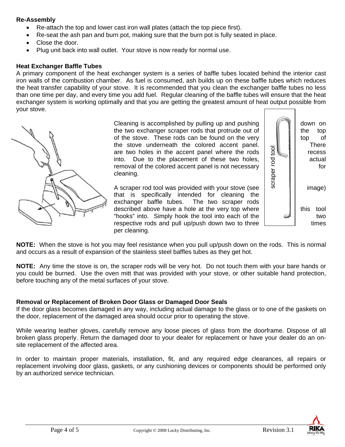## **Re-Assembly**

- Re-attach the top and lower cast iron wall plates (attach the top piece first).
- Re-seat the ash pan and burn pot, making sure that the burn pot is fully seated in place.
- Close the door.
- Plug unit back into wall outlet. Your stove is now ready for normal use.

## **Heat Exchanger Baffle Tubes**

A primary component of the heat exchanger system is a series of baffle tubes located behind the interior cast iron walls of the combustion chamber. As fuel is consumed, ash builds up on these baffle tubes which reduces the heat transfer capability of your stove. It is recommended that you clean the exchanger baffle tubes no less than one time per day, and every time you add fuel. Regular cleaning of the baffle tubes will ensure that the heat exchanger system is working optimally and that you are getting the greatest amount of heat output possible from your stove.



Cleaning is accomplished by pulling up and pushing  $\|\cdot\|$  down on the two exchanger scraper rods that protrude out of  $\|\cdot\|$  the top of the stove. These rods can be found on the very top of the stove underneath the colored accent panel. There<br>are two holes in the accent panel where the rods<br>into. Due to the placement of these two holes,<br>removal of the colored accent panel is not necessary<br>cleaning. are two holes in the accent panel where the rods recess into. Due to the placement of these two holes,  $\overline{z}$ removal of the colored accent panel is not necessary  $\begin{bmatrix} 1 & 1 \\ 1 & 1 \end{bmatrix}$  for cleaning.

The store is not be too the placement of these worse business that all and the search panel is the consistent of these worses the best in the searched above have a hole in the vacuum of the searched above that is specific A scraper rod tool was provided with your stove (see  $\begin{bmatrix} \infty & \mathbb{R} \\ \infty & \mathbb{R} \end{bmatrix}$  image) that is specifically intended for cleaning the exchanger baffle tubes. The two scraper rods exchanger baffle tubes. described above have a hole at the very top where  $\|\cdot\|$  this tool "hooks" into. Simply hook the tool into each of the two respective rods and pull up/push down two to three  $\Box$ per cleaning.



**NOTE:** When the stove is hot you may feel resistance when you pull up/push down on the rods. This is normal and occurs as a result of expansion of the stainless steel baffles tubes as they get hot.

**NOTE:** Any time the stove is on, the scraper rods will be very hot. Do not touch them with your bare hands or you could be burned. Use the oven mitt that was provided with your stove, or other suitable hand protection, before touching any of the metal surfaces of your stove.

## **Removal or Replacement of Broken Door Glass or Damaged Door Seals**

If the door glass becomes damaged in any way, including actual damage to the glass or to one of the gaskets on the door, replacement of the damaged area should occur prior to operating the stove.

While wearing leather gloves, carefully remove any loose pieces of glass from the doorframe. Dispose of all broken glass properly. Return the damaged door to your dealer for replacement or have your dealer do an onsite replacement of the affected area.

In order to maintain proper materials, installation, fit, and any required edge clearances, all repairs or replacement involving door glass, gaskets, or any cushioning devices or components should be performed only by an authorized service technician.